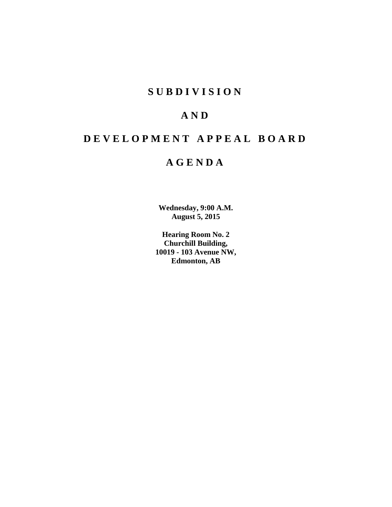# **S U B D I V I S I O N**

# **A N D**

# **D E V E L O P M E N T A P P E A L B O A R D**

# **A G E N D A**

**Wednesday, 9:00 A.M. August 5, 2015**

**Hearing Room No. 2 Churchill Building, 10019 - 103 Avenue NW, Edmonton, AB**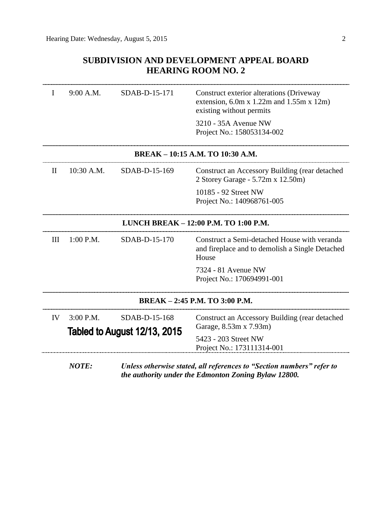## **SUBDIVISION AND DEVELOPMENT APPEAL BOARD HEARING ROOM NO. 2**

| Τ            | 9:00 A.M.                           | SDAB-D-15-171 | Construct exterior alterations (Driveway<br>extension, $6.0m \times 1.22m$ and $1.55m \times 12m$ )<br>existing without permits |
|--------------|-------------------------------------|---------------|---------------------------------------------------------------------------------------------------------------------------------|
|              |                                     |               | 3210 - 35A Avenue NW<br>Project No.: 158053134-002                                                                              |
|              |                                     |               | BREAK - 10:15 A.M. TO 10:30 A.M.                                                                                                |
| $\mathbf{H}$ | $10:30$ A.M.                        | SDAB-D-15-169 | Construct an Accessory Building (rear detached<br>2 Storey Garage - 5.72m x 12.50m)                                             |
|              |                                     |               | 10185 - 92 Street NW<br>Project No.: 140968761-005                                                                              |
|              |                                     |               | LUNCH BREAK - 12:00 P.M. TO 1:00 P.M.                                                                                           |
| III          | $1:00$ P.M.                         | SDAB-D-15-170 | Construct a Semi-detached House with veranda<br>and fireplace and to demolish a Single Detached<br>House                        |
|              |                                     |               | 7324 - 81 Avenue NW<br>Project No.: 170694991-001                                                                               |
|              |                                     |               | BREAK - 2:45 P.M. TO 3:00 P.M.                                                                                                  |
| IV           | $3:00$ P.M.                         | SDAB-D-15-168 | Construct an Accessory Building (rear detached                                                                                  |
|              | <b>Tabled to August 12/13, 2015</b> |               | Garage, 8.53m x 7.93m)                                                                                                          |
|              |                                     |               | 5423 - 203 Street NW<br>Project No.: 173111314-001                                                                              |
|              | <b>NOTE:</b>                        |               | Unless otherwise stated, all references to "Section numbers" refer to<br>the authority under the Edmonton Zoning Bylaw 12800.   |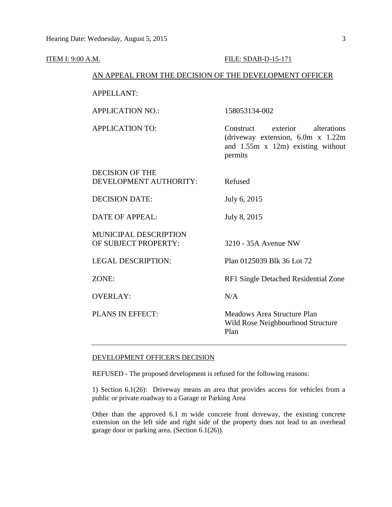| <b>ITEM I: 9:00 A.M.</b> |                                                  | FILE: SDAB-D-15-171                                                                                                                    |
|--------------------------|--------------------------------------------------|----------------------------------------------------------------------------------------------------------------------------------------|
|                          |                                                  | AN APPEAL FROM THE DECISION OF THE DEVELOPMENT OFFICER                                                                                 |
|                          | <b>APPELLANT:</b>                                |                                                                                                                                        |
|                          | <b>APPLICATION NO.:</b>                          | 158053134-002                                                                                                                          |
|                          | <b>APPLICATION TO:</b>                           | Construct<br>exterior<br>alterations<br>(driveway extension, $6.0m \times 1.22m$<br>and $1.55m \times 12m$ existing without<br>permits |
|                          | <b>DECISION OF THE</b><br>DEVELOPMENT AUTHORITY: | Refused                                                                                                                                |
|                          | <b>DECISION DATE:</b>                            | July 6, 2015                                                                                                                           |
|                          | <b>DATE OF APPEAL:</b>                           | July 8, 2015                                                                                                                           |
|                          | MUNICIPAL DESCRIPTION<br>OF SUBJECT PROPERTY:    | 3210 - 35A Avenue NW                                                                                                                   |
|                          | <b>LEGAL DESCRIPTION:</b>                        | Plan 0125039 Blk 36 Lot 72                                                                                                             |
|                          | ZONE:                                            | RF1 Single Detached Residential Zone                                                                                                   |
|                          | <b>OVERLAY:</b>                                  | N/A                                                                                                                                    |
|                          | PLANS IN EFFECT:                                 | Meadows Area Structure Plan<br>Wild Rose Neighbourhood Structure<br>Plan                                                               |

#### DEVELOPMENT OFFICER'S DECISION

REFUSED - The proposed development is refused for the following reasons:

1) Section 6.1(26): Driveway means an area that provides access for vehicles from a public or private roadway to a Garage or Parking Area

Other than the approved 6.1 m wide concrete front driveway, the existing concrete extension on the left side and right side of the property does not lead to an overhead garage door or parking area. (Section 6.1(26)).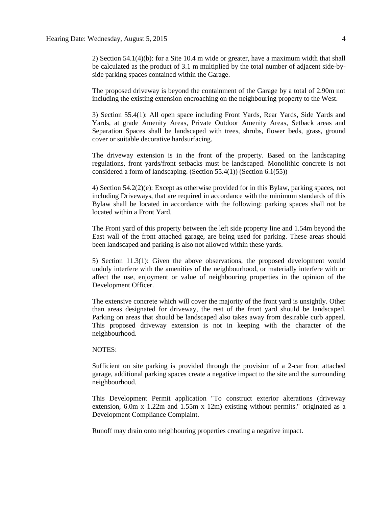2) Section 54.1(4)(b): for a Site 10.4 m wide or greater, have a maximum width that shall be calculated as the product of 3.1 m multiplied by the total number of adjacent side-byside parking spaces contained within the Garage.

The proposed driveway is beyond the containment of the Garage by a total of 2.90m not including the existing extension encroaching on the neighbouring property to the West.

3) Section 55.4(1): All open space including Front Yards, Rear Yards, Side Yards and Yards, at grade Amenity Areas, Private Outdoor Amenity Areas, Setback areas and Separation Spaces shall be landscaped with trees, shrubs, flower beds, grass, ground cover or suitable decorative hardsurfacing.

The driveway extension is in the front of the property. Based on the landscaping regulations, front yards/front setbacks must be landscaped. Monolithic concrete is not considered a form of landscaping. (Section 55.4(1)) (Section 6.1(55))

4) Section 54.2(2)(e): Except as otherwise provided for in this Bylaw, parking spaces, not including Driveways, that are required in accordance with the minimum standards of this Bylaw shall be located in accordance with the following: parking spaces shall not be located within a Front Yard.

The Front yard of this property between the left side property line and 1.54m beyond the East wall of the front attached garage, are being used for parking. These areas should been landscaped and parking is also not allowed within these yards.

5) Section 11.3(1): Given the above observations, the proposed development would unduly interfere with the amenities of the neighbourhood, or materially interfere with or affect the use, enjoyment or value of neighbouring properties in the opinion of the Development Officer.

The extensive concrete which will cover the majority of the front yard is unsightly. Other than areas designated for driveway, the rest of the front yard should be landscaped. Parking on areas that should be landscaped also takes away from desirable curb appeal. This proposed driveway extension is not in keeping with the character of the neighbourhood.

#### NOTES:

Sufficient on site parking is provided through the provision of a 2-car front attached garage, additional parking spaces create a negative impact to the site and the surrounding neighbourhood.

This Development Permit application "To construct exterior alterations (driveway extension, 6.0m x 1.22m and 1.55m x 12m) existing without permits." originated as a Development Compliance Complaint.

Runoff may drain onto neighbouring properties creating a negative impact.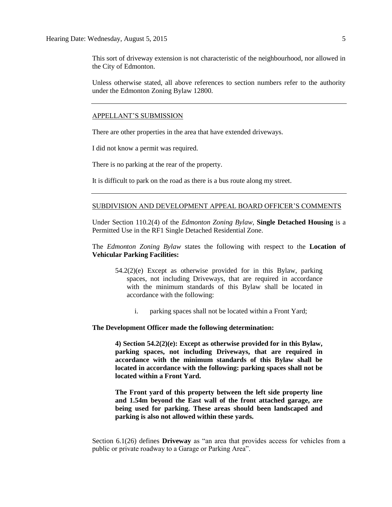This sort of driveway extension is not characteristic of the neighbourhood, nor allowed in the City of Edmonton.

Unless otherwise stated, all above references to section numbers refer to the authority under the Edmonton Zoning Bylaw 12800.

#### APPELLANT'S SUBMISSION

There are other properties in the area that have extended driveways.

I did not know a permit was required.

There is no parking at the rear of the property.

It is difficult to park on the road as there is a bus route along my street.

#### SUBDIVISION AND DEVELOPMENT APPEAL BOARD OFFICER'S COMMENTS

Under Section 110.2(4) of the *Edmonton Zoning Bylaw,* **Single Detached Housing** is a Permitted Use in the RF1 Single Detached Residential Zone.

The *Edmonton Zoning Bylaw* states the following with respect to the **Location of Vehicular Parking Facilities:**

- 54.2(2)(e) Except as otherwise provided for in this Bylaw, parking spaces, not including Driveways, that are required in accordance with the minimum standards of this Bylaw shall be located in accordance with the following:
	- i. parking spaces shall not be located within a Front Yard;

#### **The Development Officer made the following determination:**

**4) Section 54.2(2)(e): Except as otherwise provided for in this Bylaw, parking spaces, not including Driveways, that are required in accordance with the minimum standards of this Bylaw shall be located in accordance with the following: parking spaces shall not be located within a Front Yard.**

**The Front yard of this property between the left side property line and 1.54m beyond the East wall of the front attached garage, are being used for parking. These areas should been landscaped and parking is also not allowed within these yards.**

Section 6.1(26) defines **Driveway** as "an area that provides access for vehicles from a public or private roadway to a Garage or Parking Area".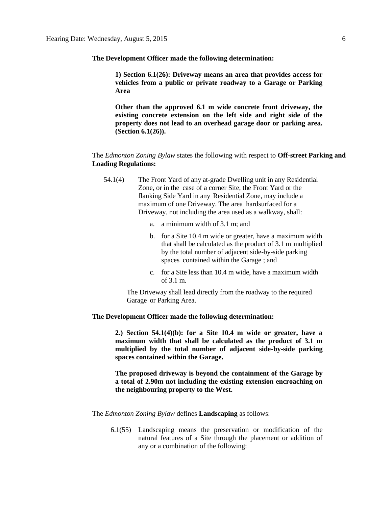**The Development Officer made the following determination:**

**1) Section 6.1(26): Driveway means an area that provides access for vehicles from a public or private roadway to a Garage or Parking Area**

**Other than the approved 6.1 m wide concrete front driveway, the existing concrete extension on the left side and right side of the property does not lead to an overhead garage door or parking area. (Section 6.1(26)).**

The *Edmonton Zoning Bylaw* states the following with respect to **Off-street Parking and Loading Regulations:**

- 54.1(4) The Front Yard of any at-grade Dwelling unit in any Residential Zone, or in the case of a corner Site, the Front Yard or the flanking Side Yard in any Residential Zone, may include a maximum of one Driveway. The area hardsurfaced for a Driveway, not including the area used as a walkway, shall:
	- a. a minimum width of 3.1 m; and
	- b. for a Site 10.4 m wide or greater, have a maximum width that shall be calculated as the product of 3.1 m multiplied by the total number of adjacent side-by-side parking spaces contained within the Garage ; and
	- c. for a Site less than 10.4 m wide, have a maximum width of 3.1 m.

The Driveway shall lead directly from the roadway to the required Garage or Parking Area.

#### **The Development Officer made the following determination:**

**2.) Section 54.1(4)(b): for a Site 10.4 m wide or greater, have a maximum width that shall be calculated as the product of 3.1 m multiplied by the total number of adjacent side-by-side parking spaces contained within the Garage.**

**The proposed driveway is beyond the containment of the Garage by a total of 2.90m not including the existing extension encroaching on the neighbouring property to the West.**

The *Edmonton Zoning Bylaw* defines **Landscaping** as follows:

6.1(55) Landscaping means the preservation or modification of the natural features of a Site through the placement or addition of any or a combination of the following: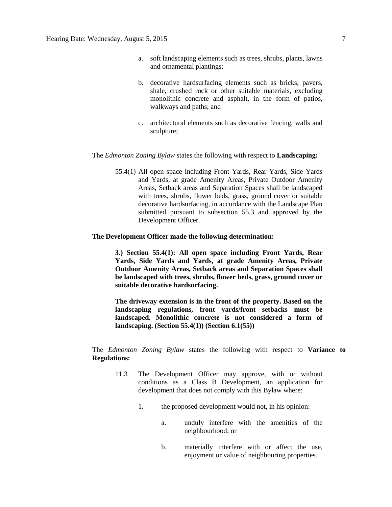- a. soft landscaping elements such as trees, shrubs, plants, lawns and ornamental plantings;
- b. decorative hardsurfacing elements such as bricks, pavers, shale, crushed rock or other suitable materials, excluding monolithic concrete and asphalt, in the form of patios, walkways and paths; and
- c. architectural elements such as decorative fencing, walls and sculpture;

#### The *Edmonton Zoning Bylaw* states the following with respect to **Landscaping:**

55.4(1) All open space including Front Yards, Rear Yards, Side Yards and Yards, at grade Amenity Areas, Private Outdoor Amenity Areas, Setback areas and Separation Spaces shall be landscaped with trees, shrubs, flower beds, grass, ground cover or suitable decorative hardsurfacing, in accordance with the Landscape Plan submitted pursuant to subsection 55.3 and approved by the Development Officer.

#### **The Development Officer made the following determination:**

**3.) Section 55.4(1): All open space including Front Yards, Rear Yards, Side Yards and Yards, at grade Amenity Areas, Private Outdoor Amenity Areas, Setback areas and Separation Spaces shall be landscaped with trees, shrubs, flower beds, grass, ground cover or suitable decorative hardsurfacing.**

**The driveway extension is in the front of the property. Based on the landscaping regulations, front yards/front setbacks must be landscaped. Monolithic concrete is not considered a form of landscaping. (Section 55.4(1)) (Section 6.1(55))**

The *Edmonton Zoning Bylaw* states the following with respect to **Variance to Regulations:** 

- 11.3 The Development Officer may approve, with or without conditions as a Class B Development, an application for development that does not comply with this Bylaw where:
	- 1. the proposed development would not, in his opinion:
		- a. unduly interfere with the amenities of the neighbourhood; or
		- b. materially interfere with or affect the use, enjoyment or value of neighbouring properties.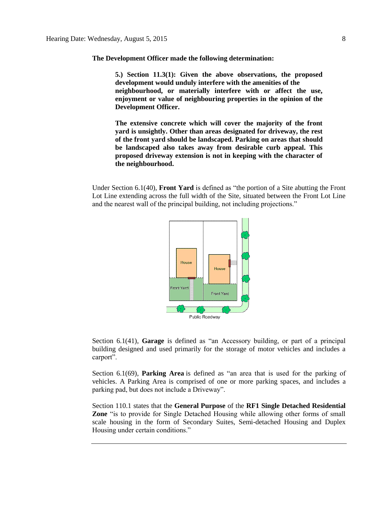**The Development Officer made the following determination:**

**5.) Section 11.3(1): Given the above observations, the proposed development would unduly interfere with the amenities of the neighbourhood, or materially interfere with or affect the use, enjoyment or value of neighbouring properties in the opinion of the Development Officer.**

**The extensive concrete which will cover the majority of the front yard is unsightly. Other than areas designated for driveway, the rest of the front yard should be landscaped. Parking on areas that should be landscaped also takes away from desirable curb appeal. This proposed driveway extension is not in keeping with the character of the neighbourhood.**

Under Section 6.1(40), **Front Yard** is defined as "the portion of a Site abutting the Front Lot Line extending across the full width of the Site, situated between the Front Lot Line and the nearest wall of the principal building, not including projections."



Section 6.1(41), **Garage** is defined as "an Accessory building, or part of a principal building designed and used primarily for the storage of motor vehicles and includes a carport".

Section 6.1(69), **Parking Area** is defined as "an area that is used for the parking of vehicles. A Parking Area is comprised of one or more parking spaces, and includes a parking pad, but does not include a Driveway".

Section 110.1 states that the **General Purpose** of the **RF1 Single Detached Residential Zone** "is to provide for Single Detached Housing while allowing other forms of small scale housing in the form of Secondary Suites, Semi-detached Housing and Duplex Housing under certain conditions."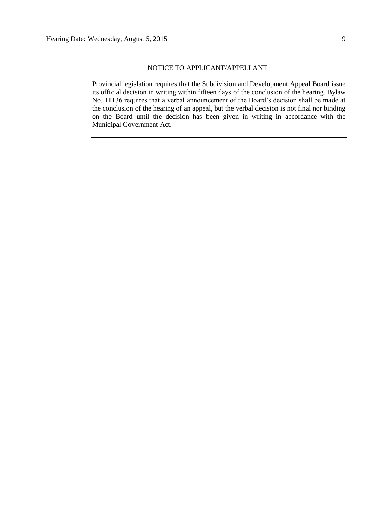Provincial legislation requires that the Subdivision and Development Appeal Board issue its official decision in writing within fifteen days of the conclusion of the hearing. Bylaw No. 11136 requires that a verbal announcement of the Board's decision shall be made at the conclusion of the hearing of an appeal, but the verbal decision is not final nor binding on the Board until the decision has been given in writing in accordance with the Municipal Government Act.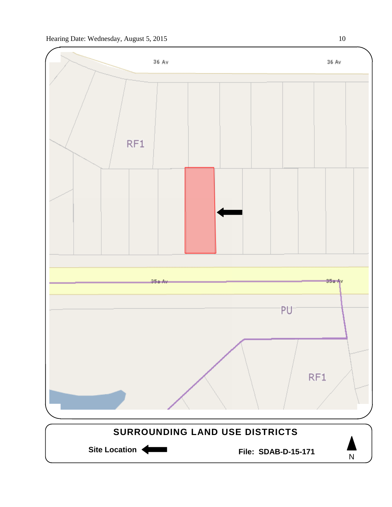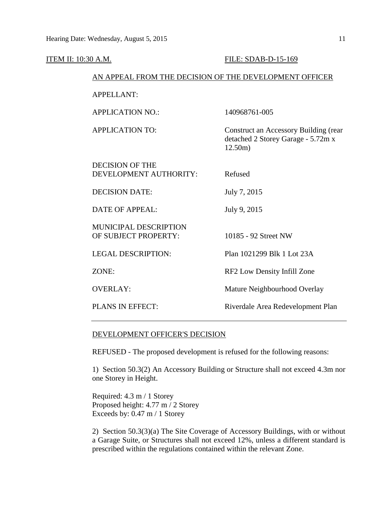| ITEM II: 10:30 A.M.                                    |                                                      | FILE: SDAB-D-15-169                                                                    |  |
|--------------------------------------------------------|------------------------------------------------------|----------------------------------------------------------------------------------------|--|
| AN APPEAL FROM THE DECISION OF THE DEVELOPMENT OFFICER |                                                      |                                                                                        |  |
|                                                        | <b>APPELLANT:</b>                                    |                                                                                        |  |
|                                                        | <b>APPLICATION NO.:</b>                              | 140968761-005                                                                          |  |
|                                                        | <b>APPLICATION TO:</b>                               | Construct an Accessory Building (rear<br>detached 2 Storey Garage - 5.72m x<br>12.50m) |  |
|                                                        | <b>DECISION OF THE</b><br>DEVELOPMENT AUTHORITY:     | Refused                                                                                |  |
|                                                        | <b>DECISION DATE:</b>                                | July 7, 2015                                                                           |  |
|                                                        | <b>DATE OF APPEAL:</b>                               | July 9, 2015                                                                           |  |
|                                                        | <b>MUNICIPAL DESCRIPTION</b><br>OF SUBJECT PROPERTY: | 10185 - 92 Street NW                                                                   |  |
|                                                        | <b>LEGAL DESCRIPTION:</b>                            | Plan 1021299 Blk 1 Lot 23A                                                             |  |
|                                                        | ZONE:                                                | RF2 Low Density Infill Zone                                                            |  |
|                                                        | <b>OVERLAY:</b>                                      | Mature Neighbourhood Overlay                                                           |  |
|                                                        | PLANS IN EFFECT:                                     | Riverdale Area Redevelopment Plan                                                      |  |
|                                                        |                                                      |                                                                                        |  |

### DEVELOPMENT OFFICER'S DECISION

REFUSED - The proposed development is refused for the following reasons:

1) Section 50.3(2) An Accessory Building or Structure shall not exceed 4.3m nor one Storey in Height.

Required: 4.3 m / 1 Storey Proposed height: 4.77 m / 2 Storey Exceeds by: 0.47 m / 1 Storey

2) Section 50.3(3)(a) The Site Coverage of Accessory Buildings, with or without a Garage Suite, or Structures shall not exceed 12%, unless a different standard is prescribed within the regulations contained within the relevant Zone.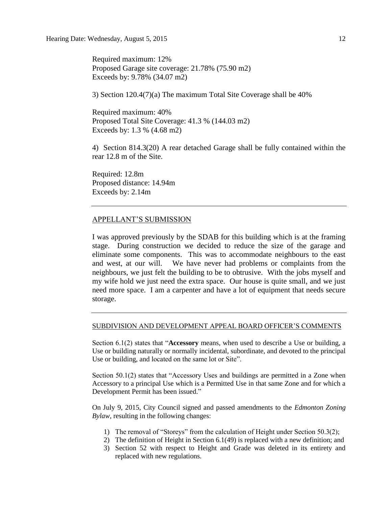Required maximum: 12% Proposed Garage site coverage: 21.78% (75.90 m2) Exceeds by: 9.78% (34.07 m2)

3) Section 120.4(7)(a) The maximum Total Site Coverage shall be 40%

Required maximum: 40% Proposed Total Site Coverage: 41.3 % (144.03 m2) Exceeds by: 1.3 % (4.68 m2)

4) Section 814.3(20) A rear detached Garage shall be fully contained within the rear 12.8 m of the Site.

Required: 12.8m Proposed distance: 14.94m Exceeds by: 2.14m

#### APPELLANT'S SUBMISSION

I was approved previously by the SDAB for this building which is at the framing stage. During construction we decided to reduce the size of the garage and eliminate some components. This was to accommodate neighbours to the east and west, at our will. We have never had problems or complaints from the neighbours, we just felt the building to be to obtrusive. With the jobs myself and my wife hold we just need the extra space. Our house is quite small, and we just need more space. I am a carpenter and have a lot of equipment that needs secure storage.

#### SUBDIVISION AND DEVELOPMENT APPEAL BOARD OFFICER'S COMMENTS

Section 6.1(2) states that "**Accessory** means, when used to describe a Use or building, a Use or building naturally or normally incidental, subordinate, and devoted to the principal Use or building, and located on the same lot or Site".

Section 50.1(2) states that "Accessory Uses and buildings are permitted in a Zone when Accessory to a principal Use which is a Permitted Use in that same Zone and for which a Development Permit has been issued."

On July 9, 2015, City Council signed and passed amendments to the *Edmonton Zoning Bylaw,* resulting in the following changes:

- 1) The removal of "Storeys" from the calculation of Height under Section 50.3(2);
- 2) The definition of Height in Section 6.1(49) is replaced with a new definition; and
- 3) Section 52 with respect to Height and Grade was deleted in its entirety and replaced with new regulations.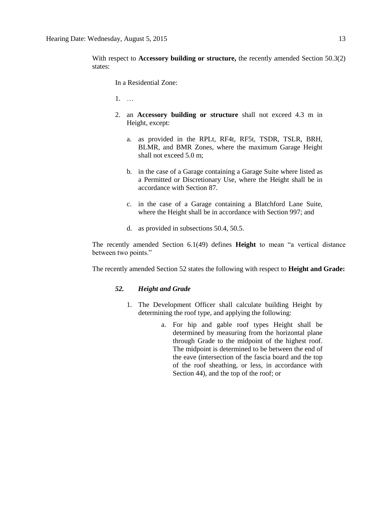With respect to **Accessory building or structure**, the recently amended Section 50.3(2) states:

In a Residential Zone:

1. …

- 2. an **Accessory building or structure** shall not exceed 4.3 m in Height, except:
	- a. as provided in the RPLt, RF4t, RF5t, TSDR, TSLR, BRH, BLMR, and BMR Zones, where the maximum Garage Height shall not exceed 5.0 m;
	- b. in the case of a Garage containing a Garage Suite where listed as a Permitted or Discretionary Use, where the Height shall be in accordance with Section 87.
	- c. in the case of a Garage containing a Blatchford Lane Suite, where the Height shall be in accordance with Section 997; and
	- d. as provided in subsections 50.4, 50.5.

The recently amended Section 6.1(49) defines **Height** to mean "a vertical distance between two points."

The recently amended Section 52 states the following with respect to **Height and Grade:** 

#### *52. Height and Grade*

- 1. The Development Officer shall calculate building Height by determining the roof type, and applying the following:
	- a. For hip and gable roof types Height shall be determined by measuring from the horizontal plane through Grade to the midpoint of the highest roof. The midpoint is determined to be between the end of the eave (intersection of the fascia board and the top of the roof sheathing, or less, in accordance with Section 44), and the top of the roof; or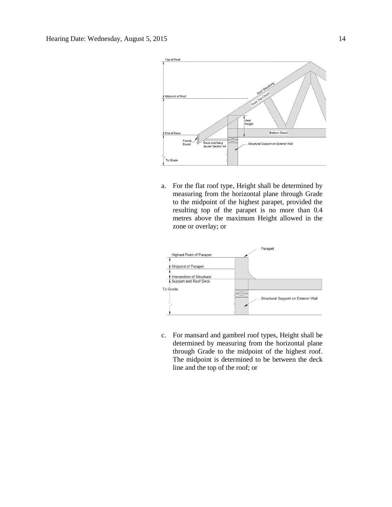

a. For the flat roof type, Height shall be determined by measuring from the horizontal plane through Grade to the midpoint of the highest parapet, provided the resulting top of the parapet is no more than 0.4 metres above the maximum Height allowed in the zone or overlay; or



c. For mansard and gambrel roof types, Height shall be determined by measuring from the horizontal plane through Grade to the midpoint of the highest roof. The midpoint is determined to be between the deck line and the top of the roof; or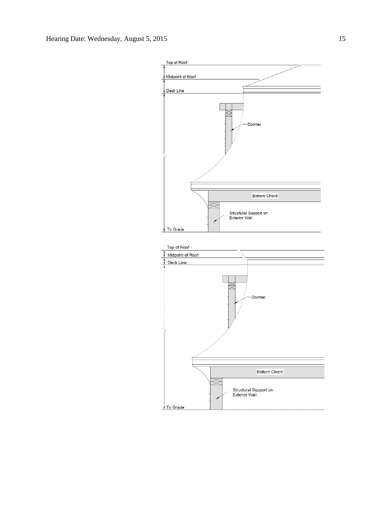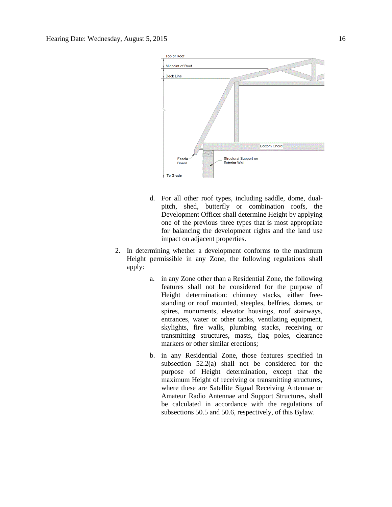

- d. For all other roof types, including saddle, dome, dualpitch, shed, butterfly or combination roofs, the Development Officer shall determine Height by applying one of the previous three types that is most appropriate for balancing the development rights and the land use impact on adjacent properties.
- 2. In determining whether a development conforms to the maximum Height permissible in any Zone, the following regulations shall apply:
	- a. in any Zone other than a Residential Zone, the following features shall not be considered for the purpose of Height determination: chimney stacks, either freestanding or roof mounted, steeples, belfries, domes, or spires, monuments, elevator housings, roof stairways, entrances, water or other tanks, ventilating equipment, skylights, fire walls, plumbing stacks, receiving or transmitting structures, masts, flag poles, clearance markers or other similar erections;
	- b. in any Residential Zone, those features specified in subsection 52.2(a) shall not be considered for the purpose of Height determination, except that the maximum Height of receiving or transmitting structures, where these are Satellite Signal Receiving Antennae or Amateur Radio Antennae and Support Structures, shall be calculated in accordance with the regulations of subsections 50.5 and 50.6, respectively, of this Bylaw.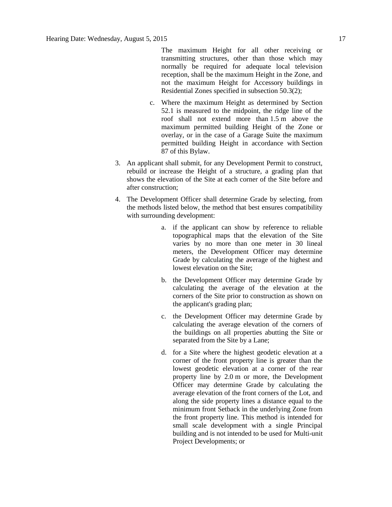The maximum Height for all other receiving or transmitting structures, other than those which may normally be required for adequate local television reception, shall be the maximum Height in the Zone, and not the maximum Height for Accessory buildings in Residential Zones specified in subsection 50.3(2);

- c. Where the maximum Height as determined by Section 52.1 is measured to the midpoint, the ridge line of the roof shall not extend more than [1.5](javascript:void(0);) m above the maximum permitted building Height of the Zone or overlay, or in the case of a Garage Suite the maximum permitted building Height in accordance with [Section](http://webdocs.edmonton.ca/InfraPlan/zoningbylaw/ZoningBylaw/Part1/Special_Land/87_Garage_and_Garden_Suites.htm)  [87](http://webdocs.edmonton.ca/InfraPlan/zoningbylaw/ZoningBylaw/Part1/Special_Land/87_Garage_and_Garden_Suites.htm) of this Bylaw.
- 3. An applicant shall submit, for any Development Permit to construct, rebuild or increase the Height of a structure, a grading plan that shows the elevation of the Site at each corner of the Site before and after construction;
- 4. The Development Officer shall determine Grade by selecting, from the methods listed below, the method that best ensures compatibility with surrounding development:
	- a. if the applicant can show by reference to reliable topographical maps that the elevation of the Site varies by no more than one meter in 30 lineal meters, the Development Officer may determine Grade by calculating the average of the highest and lowest elevation on the Site;
	- b. the Development Officer may determine Grade by calculating the average of the elevation at the corners of the Site prior to construction as shown on the applicant's grading plan;
	- c. the Development Officer may determine Grade by calculating the average elevation of the corners of the buildings on all properties abutting the Site or separated from the Site by a Lane;
	- d. for a Site where the highest geodetic elevation at a corner of the front property line is greater than the lowest geodetic elevation at a corner of the rear property line by 2.0 m or more, the Development Officer may determine Grade by calculating the average elevation of the front corners of the Lot, and along the side property lines a distance equal to the minimum front Setback in the underlying Zone from the front property line. This method is intended for small scale development with a single Principal building and is not intended to be used for Multi-unit Project Developments; or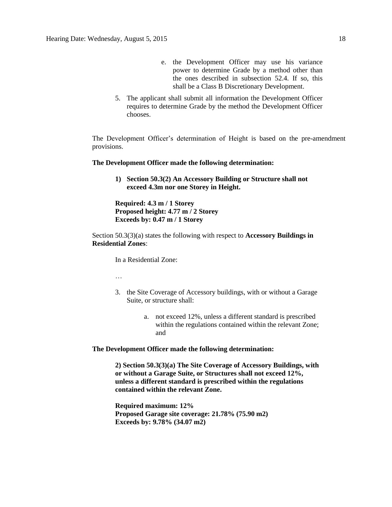- e. the Development Officer may use his variance power to determine Grade by a method other than the ones described in subsection 52.4. If so, this shall be a Class B Discretionary Development.
- 5. The applicant shall submit all information the Development Officer requires to determine Grade by the method the Development Officer chooses.

The Development Officer's determination of Height is based on the pre-amendment provisions.

#### **The Development Officer made the following determination:**

**1) Section 50.3(2) An Accessory Building or Structure shall not exceed 4.3m nor one Storey in Height.**

**Required: 4.3 m / 1 Storey Proposed height: 4.77 m / 2 Storey Exceeds by: 0.47 m / 1 Storey**

Section 50.3(3)(a) states the following with respect to **Accessory Buildings in Residential Zones**:

In a Residential Zone:

…

- 3. the Site Coverage of Accessory buildings, with or without a Garage Suite, or structure shall:
	- a. not exceed 12%, unless a different standard is prescribed within the regulations contained within the relevant Zone; and

**The Development Officer made the following determination:**

**2) Section 50.3(3)(a) The Site Coverage of Accessory Buildings, with or without a Garage Suite, or Structures shall not exceed 12%, unless a different standard is prescribed within the regulations contained within the relevant Zone.**

**Required maximum: 12% Proposed Garage site coverage: 21.78% (75.90 m2) Exceeds by: 9.78% (34.07 m2)**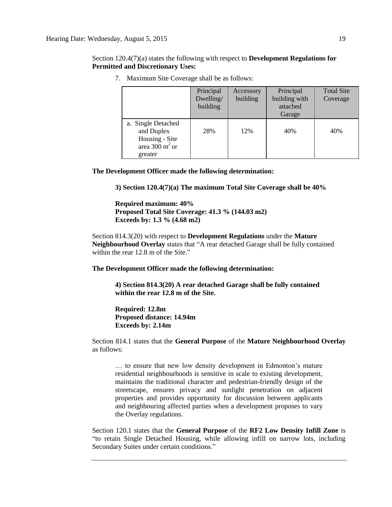Section 120.4(7)(a) states the following with respect to **Development Regulations for Permitted and Discretionary Uses:**

|                                                                                             | Principal<br>Dwelling/<br>building | Accessory<br>building | Principal<br>building with<br>attached<br>Garage | <b>Total Site</b><br>Coverage |
|---------------------------------------------------------------------------------------------|------------------------------------|-----------------------|--------------------------------------------------|-------------------------------|
| a. Single Detached<br>and Duplex<br>Housing - Site<br>area 300 m <sup>2</sup> or<br>greater | 28%                                | 12%                   | 40%                                              | 40%                           |

7. Maximum Site Coverage shall be as follows:

**The Development Officer made the following determination:**

**3) Section 120.4(7)(a) The maximum Total Site Coverage shall be 40%**

**Required maximum: 40% Proposed Total Site Coverage: 41.3 % (144.03 m2) Exceeds by: 1.3 % (4.68 m2)**

Section 814.3(20) with respect to **Development Regulations** under the **Mature Neighbourhood Overlay** states that "A rear detached Garage shall be fully contained within the rear 12.8 m of the Site."

**The Development Officer made the following determination:**

**4) Section 814.3(20) A rear detached Garage shall be fully contained within the rear 12.8 m of the Site.**

**Required: 12.8m Proposed distance: 14.94m Exceeds by: 2.14m**

Section 814.1 states that the **General Purpose** of the **Mature Neighbourhood Overlay** as follows:

… to ensure that new low density development in Edmonton's mature residential neighbourhoods is sensitive in scale to existing development, maintains the traditional character and pedestrian-friendly design of the streetscape, ensures privacy and sunlight penetration on adjacent properties and provides opportunity for discussion between applicants and neighbouring affected parties when a development proposes to vary the Overlay regulations.

Section 120.1 states that the **General Purpose** of the **RF2 Low Density Infill Zone** is "to retain Single Detached Housing, while allowing infill on narrow lots, including Secondary Suites under certain conditions."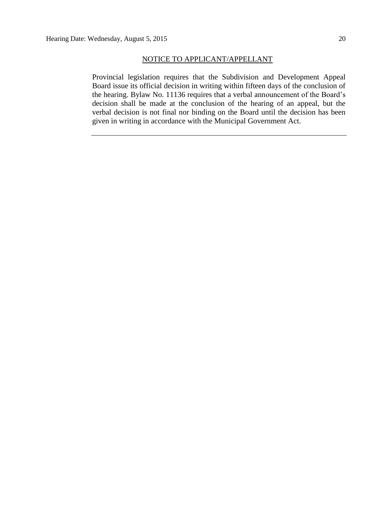#### NOTICE TO APPLICANT/APPELLANT

Provincial legislation requires that the Subdivision and Development Appeal Board issue its official decision in writing within fifteen days of the conclusion of the hearing. Bylaw No. 11136 requires that a verbal announcement of the Board's decision shall be made at the conclusion of the hearing of an appeal, but the verbal decision is not final nor binding on the Board until the decision has been given in writing in accordance with the Municipal Government Act.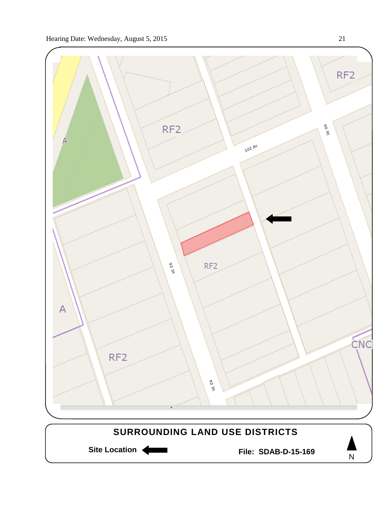

Site Location **Community Contracts** File: SDAB-D-15-169

N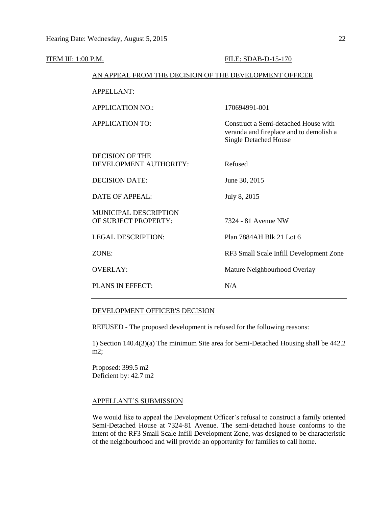| ITEM III: 1:00 P.M. |                                                        | FILE: SDAB-D-15-170                                                                                             |
|---------------------|--------------------------------------------------------|-----------------------------------------------------------------------------------------------------------------|
|                     | AN APPEAL FROM THE DECISION OF THE DEVELOPMENT OFFICER |                                                                                                                 |
|                     | <b>APPELLANT:</b>                                      |                                                                                                                 |
|                     | <b>APPLICATION NO.:</b>                                | 170694991-001                                                                                                   |
|                     | <b>APPLICATION TO:</b>                                 | Construct a Semi-detached House with<br>veranda and fireplace and to demolish a<br><b>Single Detached House</b> |
|                     | <b>DECISION OF THE</b><br>DEVELOPMENT AUTHORITY:       | Refused                                                                                                         |
|                     | <b>DECISION DATE:</b>                                  | June 30, 2015                                                                                                   |
|                     | <b>DATE OF APPEAL:</b>                                 | July 8, 2015                                                                                                    |
|                     | <b>MUNICIPAL DESCRIPTION</b><br>OF SUBJECT PROPERTY:   | 7324 - 81 Avenue NW                                                                                             |
|                     | <b>LEGAL DESCRIPTION:</b>                              | Plan 7884AH Blk 21 Lot 6                                                                                        |
|                     | ZONE:                                                  | RF3 Small Scale Infill Development Zone                                                                         |
|                     | <b>OVERLAY:</b>                                        | Mature Neighbourhood Overlay                                                                                    |
|                     | <b>PLANS IN EFFECT:</b>                                | N/A                                                                                                             |
|                     |                                                        |                                                                                                                 |

#### DEVELOPMENT OFFICER'S DECISION

REFUSED - The proposed development is refused for the following reasons:

1) Section 140.4(3)(a) The minimum Site area for Semi-Detached Housing shall be 442.2 m2;

Proposed: 399.5 m2 Deficient by: 42.7 m2

#### APPELLANT'S SUBMISSION

We would like to appeal the Development Officer's refusal to construct a family oriented Semi-Detached House at 7324-81 Avenue. The semi-detached house conforms to the intent of the RF3 Small Scale Infill Development Zone, was designed to be characteristic of the neighbourhood and will provide an opportunity for families to call home.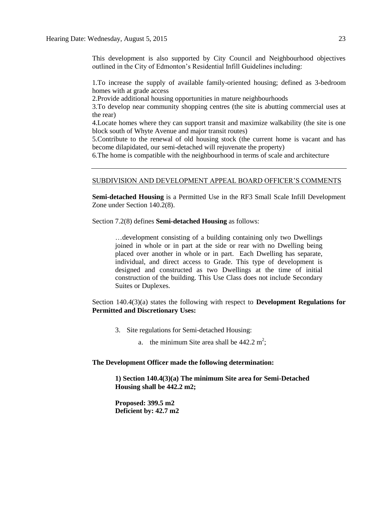This development is also supported by City Council and Neighbourhood objectives outlined in the City of Edmonton's Residential Infill Guidelines including:

1.To increase the supply of available family-oriented housing; defined as 3-bedroom homes with at grade access

2.Provide additional housing opportunities in mature neighbourhoods

3.To develop near community shopping centres (the site is abutting commercial uses at the rear)

4.Locate homes where they can support transit and maximize walkability (the site is one block south of Whyte Avenue and major transit routes)

5.Contribute to the renewal of old housing stock (the current home is vacant and has become dilapidated, our semi-detached will rejuvenate the property)

6.The home is compatible with the neighbourhood in terms of scale and architecture

#### SUBDIVISION AND DEVELOPMENT APPEAL BOARD OFFICER'S COMMENTS

**Semi-detached Housing** is a Permitted Use in the RF3 Small Scale Infill Development Zone under Section 140.2(8).

Section 7.2(8) defines **Semi-detached Housing** as follows:

…development consisting of a building containing only two Dwellings joined in whole or in part at the side or rear with no Dwelling being placed over another in whole or in part. Each Dwelling has separate, individual, and direct access to Grade. This type of development is designed and constructed as two Dwellings at the time of initial construction of the building. This Use Class does not include Secondary Suites or Duplexes.

Section 140.4(3)(a) states the following with respect to **Development Regulations for Permitted and Discretionary Uses:**

- 3. Site regulations for Semi-detached Housing:
	- a. the minimum Site area shall be  $442.2 \text{ m}^2$ ;

#### **The Development Officer made the following determination:**

**1) Section 140.4(3)(a) The minimum Site area for Semi-Detached Housing shall be 442.2 m2;**

**Proposed: 399.5 m2 Deficient by: 42.7 m2**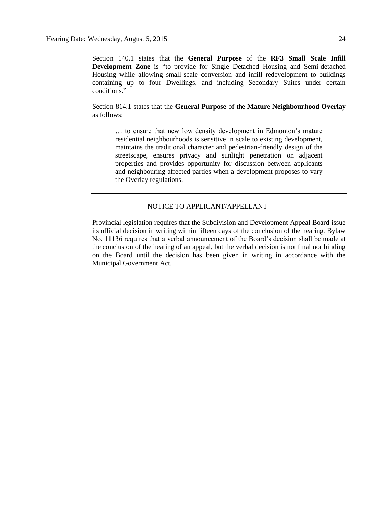Section 140.1 states that the **General Purpose** of the **RF3 Small Scale Infill Development Zone** is "to provide for Single Detached Housing and Semi-detached Housing while allowing small-scale conversion and infill redevelopment to buildings containing up to four Dwellings, and including Secondary Suites under certain conditions."

Section 814.1 states that the **General Purpose** of the **Mature Neighbourhood Overlay** as follows:

… to ensure that new low density development in Edmonton's mature residential neighbourhoods is sensitive in scale to existing development, maintains the traditional character and pedestrian-friendly design of the streetscape, ensures privacy and sunlight penetration on adjacent properties and provides opportunity for discussion between applicants and neighbouring affected parties when a development proposes to vary the Overlay regulations.

#### NOTICE TO APPLICANT/APPELLANT

Provincial legislation requires that the Subdivision and Development Appeal Board issue its official decision in writing within fifteen days of the conclusion of the hearing. Bylaw No. 11136 requires that a verbal announcement of the Board's decision shall be made at the conclusion of the hearing of an appeal, but the verbal decision is not final nor binding on the Board until the decision has been given in writing in accordance with the Municipal Government Act.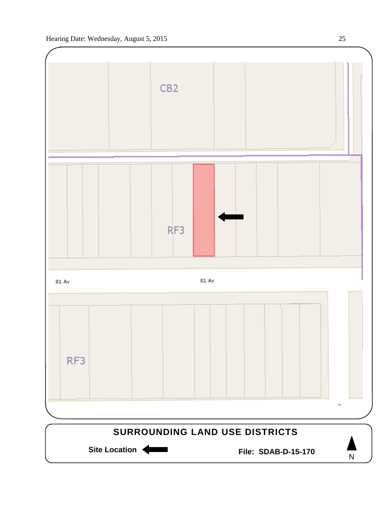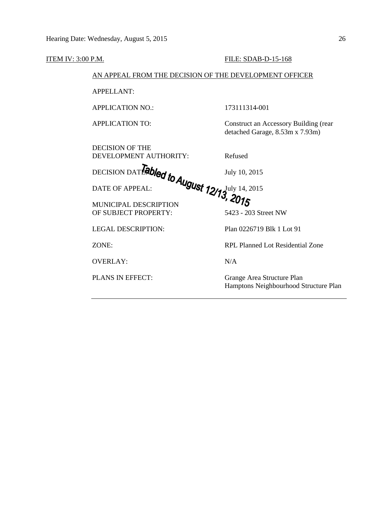| ITEM IV: 3:00 P.M. |                                                        | FILE: SDAB-D-15-168                                                      |
|--------------------|--------------------------------------------------------|--------------------------------------------------------------------------|
|                    | AN APPEAL FROM THE DECISION OF THE DEVELOPMENT OFFICER |                                                                          |
|                    | <b>APPELLANT:</b>                                      |                                                                          |
|                    | <b>APPLICATION NO.:</b>                                | 173111314-001                                                            |
|                    | <b>APPLICATION TO:</b>                                 | Construct an Accessory Building (rear<br>detached Garage, 8.53m x 7.93m) |
|                    | <b>DECISION OF THE</b><br>DEVELOPMENT AUTHORITY:       | Refused                                                                  |
|                    | DEVELOIS DATENTED ON TO AUGUST 12/13, 2015             |                                                                          |
|                    |                                                        |                                                                          |
|                    | OF SUBJECT PROPERTY:                                   | 5423 - 203 Street NW                                                     |
|                    | <b>LEGAL DESCRIPTION:</b>                              | Plan 0226719 Blk 1 Lot 91                                                |
|                    | ZONE:                                                  | <b>RPL Planned Lot Residential Zone</b>                                  |
|                    | <b>OVERLAY:</b>                                        | N/A                                                                      |
|                    | PLANS IN EFFECT:                                       | Grange Area Structure Plan<br>Hamptons Neighbourhood Structure Plan      |
|                    |                                                        |                                                                          |